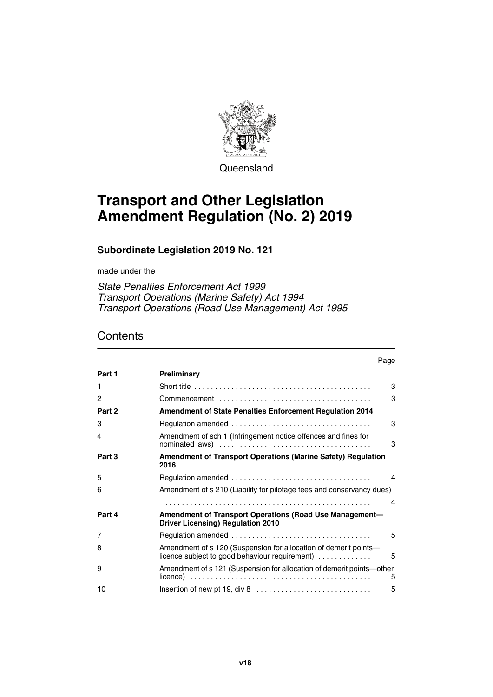

**Queensland** 

# **Transport and Other Legislation Amendment Regulation (No. 2) 2019**

## **Subordinate Legislation 2019 No. 121**

made under the

*State Penalties Enforcement Act 1999 Transport Operations (Marine Safety) Act 1994 Transport Operations (Road Use Management) Act 1995*

## **Contents**

|        | Page                                                                                                                             |
|--------|----------------------------------------------------------------------------------------------------------------------------------|
| Part 1 | Preliminary                                                                                                                      |
| 1.     | 3                                                                                                                                |
| 2      | 3                                                                                                                                |
| Part 2 | <b>Amendment of State Penalties Enforcement Regulation 2014</b>                                                                  |
| 3      | 3                                                                                                                                |
| 4      | Amendment of sch 1 (Infringement notice offences and fines for<br>3                                                              |
| Part 3 | Amendment of Transport Operations (Marine Safety) Regulation<br>2016                                                             |
| 5      | 4                                                                                                                                |
| 6      | Amendment of s 210 (Liability for pilotage fees and conservancy dues)                                                            |
|        | 4                                                                                                                                |
| Part 4 | Amendment of Transport Operations (Road Use Management-<br><b>Driver Licensing) Regulation 2010</b>                              |
| 7      | 5                                                                                                                                |
| 8      | Amendment of s 120 (Suspension for allocation of demerit points-<br>licence subject to good behaviour requirement) $\ldots$<br>5 |
| 9      | Amendment of s 121 (Suspension for allocation of demerit points—other<br>5                                                       |
| 10     | 5                                                                                                                                |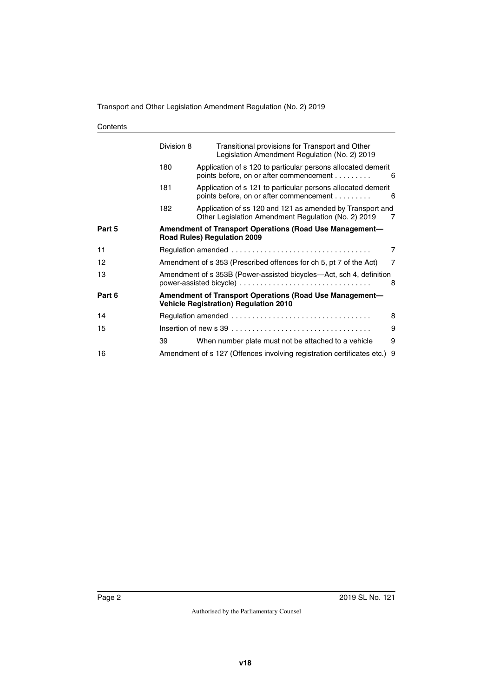| Contents |
|----------|
|----------|

|        | Division 8                                                                                              | Transitional provisions for Transport and Other<br>Legislation Amendment Regulation (No. 2) 2019                 |   |  |  |
|--------|---------------------------------------------------------------------------------------------------------|------------------------------------------------------------------------------------------------------------------|---|--|--|
|        | 180                                                                                                     | Application of s 120 to particular persons allocated demerit<br>points before, on or after commencement          | 6 |  |  |
|        | 181                                                                                                     | Application of s 121 to particular persons allocated demerit<br>points before, on or after commencement          | 6 |  |  |
|        | 182                                                                                                     | Application of ss 120 and 121 as amended by Transport and<br>Other Legislation Amendment Regulation (No. 2) 2019 | 7 |  |  |
| Part 5 | Amendment of Transport Operations (Road Use Management-<br><b>Road Rules) Regulation 2009</b>           |                                                                                                                  |   |  |  |
| 11     |                                                                                                         |                                                                                                                  | 7 |  |  |
| 12     | Amendment of s 353 (Prescribed offences for ch 5, pt 7 of the Act)<br>$\overline{7}$                    |                                                                                                                  |   |  |  |
| 13     | Amendment of s 353B (Power-assisted bicycles—Act, sch 4, definition<br>power-assisted bicycle)<br>8     |                                                                                                                  |   |  |  |
| Part 6 | Amendment of Transport Operations (Road Use Management-<br><b>Vehicle Registration) Regulation 2010</b> |                                                                                                                  |   |  |  |
| 14     |                                                                                                         |                                                                                                                  | 8 |  |  |
| 15     | 9                                                                                                       |                                                                                                                  |   |  |  |
|        | 39                                                                                                      | When number plate must not be attached to a vehicle                                                              | 9 |  |  |
| 16     |                                                                                                         | Amendment of s 127 (Offences involving registration certificates etc.)                                           | 9 |  |  |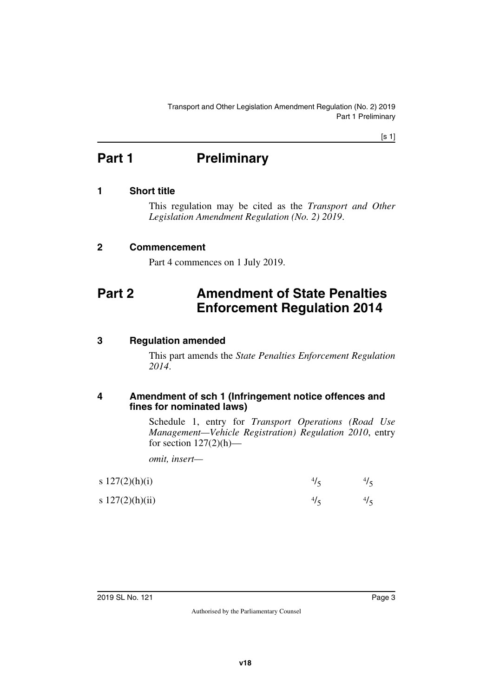[s 1]

# <span id="page-2-0"></span>**Part 1** Preliminary

## <span id="page-2-2"></span>**1 Short title**

<span id="page-2-3"></span><span id="page-2-1"></span>This regulation may be cited as the *Transport and Other Legislation Amendment Regulation (No. 2) 2019*.

## <span id="page-2-4"></span>**2 Commencement**

<span id="page-2-7"></span><span id="page-2-5"></span>Part 4 commences on 1 July 2019.

# <span id="page-2-6"></span>**Part 2 Amendment of State Penalties Enforcement Regulation 2014**

## <span id="page-2-8"></span>**3 Regulation amended**

<span id="page-2-9"></span>This part amends the *State Penalties Enforcement Regulation 2014*.

### <span id="page-2-11"></span><span id="page-2-10"></span>**4 Amendment of sch 1 (Infringement notice offences and fines for nominated laws)**

Schedule 1, entry for *Transport Operations (Road Use Management—Vehicle Registration) Regulation 2010*, entry for section  $127(2)(h)$ —

*omit, insert—*

| s $127(2)(h)(i)$  | 41 |  |
|-------------------|----|--|
| s $127(2)(h)(ii)$ | 41 |  |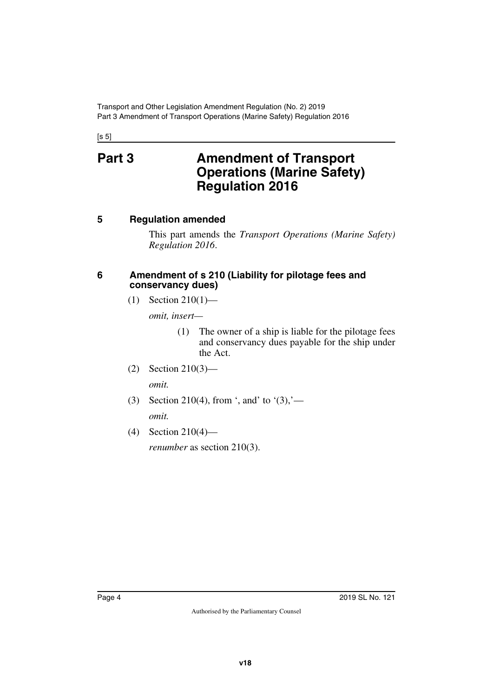<span id="page-3-1"></span><span id="page-3-0"></span> $[s 5]$ 

# **Part 3 Amendment of Transport Operations (Marine Safety) Regulation 2016**

## <span id="page-3-2"></span>**5 Regulation amended**

<span id="page-3-3"></span>This part amends the *Transport Operations (Marine Safety) Regulation 2016*.

## <span id="page-3-5"></span><span id="page-3-4"></span>**6 Amendment of s 210 (Liability for pilotage fees and conservancy dues)**

(1) Section 210(1)—

*omit, insert—*

- (1) The owner of a ship is liable for the pilotage fees and conservancy dues payable for the ship under the Act.
- (2) Section 210(3)—

*omit.*

- (3) Section 210(4), from ', and' to '(3),' *omit.*
- (4) Section 210(4)—

*renumber* as section 210(3).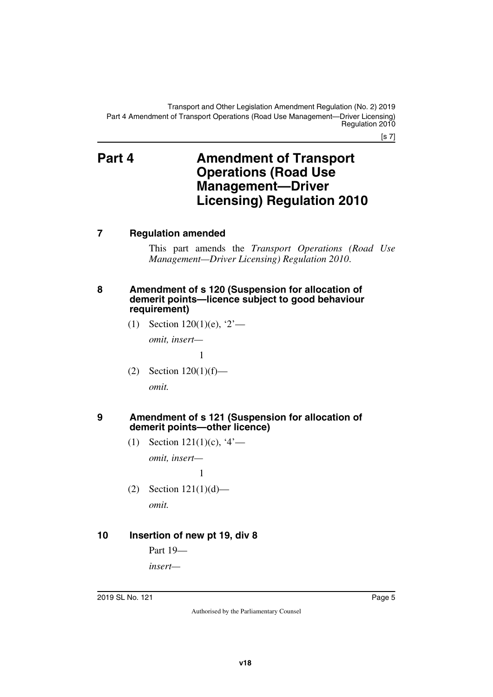[s 7]

## <span id="page-4-1"></span><span id="page-4-0"></span>**Part 4 Amendment of Transport Operations (Road Use Management—Driver Licensing) Regulation 2010**

## <span id="page-4-2"></span>**7 Regulation amended**

<span id="page-4-3"></span>This part amends the *Transport Operations (Road Use Management—Driver Licensing) Regulation 2010*.

## <span id="page-4-5"></span><span id="page-4-4"></span>**8 Amendment of s 120 (Suspension for allocation of demerit points—licence subject to good behaviour requirement)**

(1) Section  $120(1)(e)$ ,  $2^7$ —

*omit, insert—*

1

(2) Section  $120(1)(f)$ —

<span id="page-4-7"></span>*omit.*

## <span id="page-4-6"></span>**9 Amendment of s 121 (Suspension for allocation of demerit points—other licence)**

(1) Section 121(1)(c), '4'—

*omit, insert—*

1

(2) Section 121(1)(d)—

<span id="page-4-9"></span>*omit.*

## <span id="page-4-8"></span>**10 Insertion of new pt 19, div 8**

Part 19—

*insert—*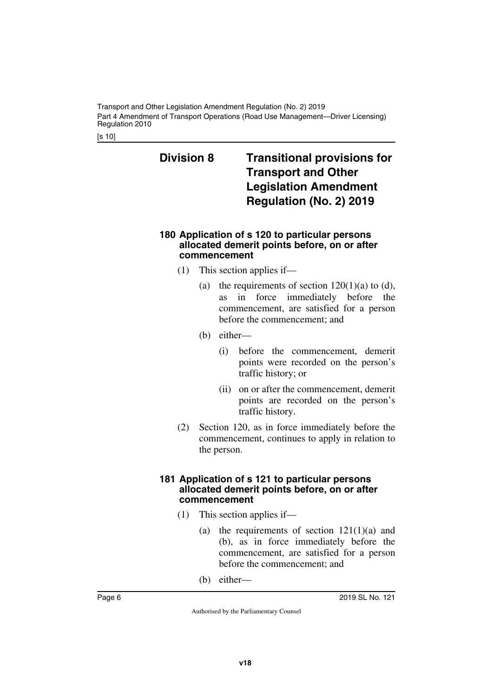Transport and Other Legislation Amendment Regulation (No. 2) 2019 Part 4 Amendment of Transport Operations (Road Use Management—Driver Licensing) Regulation 2010

[s 10]

## <span id="page-5-1"></span><span id="page-5-0"></span>**Division 8 Transitional provisions for Transport and Other Legislation Amendment Regulation (No. 2) 2019**

## <span id="page-5-3"></span><span id="page-5-2"></span>**180 Application of s 120 to particular persons allocated demerit points before, on or after commencement**

- (1) This section applies if—
	- (a) the requirements of section  $120(1)(a)$  to (d), as in force immediately before the commencement, are satisfied for a person before the commencement; and
	- (b) either—
		- (i) before the commencement, demerit points were recorded on the person's traffic history; or
		- (ii) on or after the commencement, demerit points are recorded on the person's traffic history.
- (2) Section 120, as in force immediately before the commencement, continues to apply in relation to the person.

### <span id="page-5-5"></span><span id="page-5-4"></span>**181 Application of s 121 to particular persons allocated demerit points before, on or after commencement**

- (1) This section applies if—
	- (a) the requirements of section  $121(1)(a)$  and (b), as in force immediately before the commencement, are satisfied for a person before the commencement; and
	- (b) either—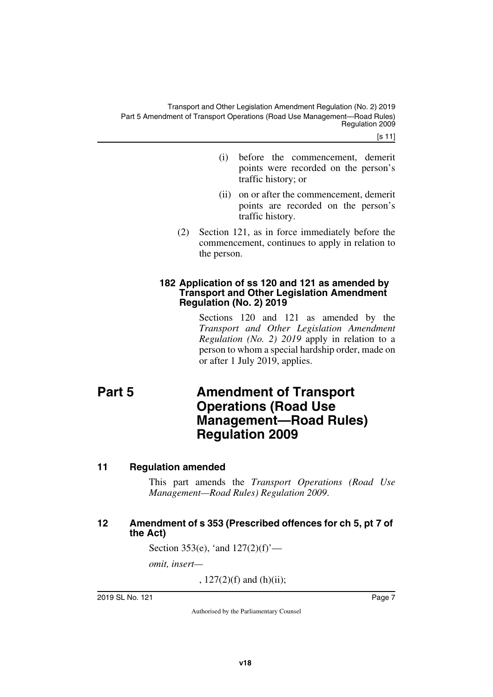[s 11]

- (i) before the commencement, demerit points were recorded on the person's traffic history; or
- (ii) on or after the commencement, demerit points are recorded on the person's traffic history.
- (2) Section 121, as in force immediately before the commencement, continues to apply in relation to the person.

## <span id="page-6-1"></span><span id="page-6-0"></span>**182 Application of ss 120 and 121 as amended by Transport and Other Legislation Amendment Regulation (No. 2) 2019**

<span id="page-6-3"></span>Sections 120 and 121 as amended by the *Transport and Other Legislation Amendment Regulation (No. 2) 2019* apply in relation to a person to whom a special hardship order, made on or after 1 July 2019, applies.

# <span id="page-6-2"></span>**Part 5 Amendment of Transport Operations (Road Use Management—Road Rules) Regulation 2009**

## <span id="page-6-4"></span>**11 Regulation amended**

<span id="page-6-5"></span>This part amends the *Transport Operations (Road Use Management—Road Rules) Regulation 2009*.

## <span id="page-6-7"></span><span id="page-6-6"></span>**12 Amendment of s 353 (Prescribed offences for ch 5, pt 7 of the Act)**

Section 353(e), 'and  $127(2)(f)$ '—

*omit, insert—*

,  $127(2)(f)$  and  $(h)(ii)$ ;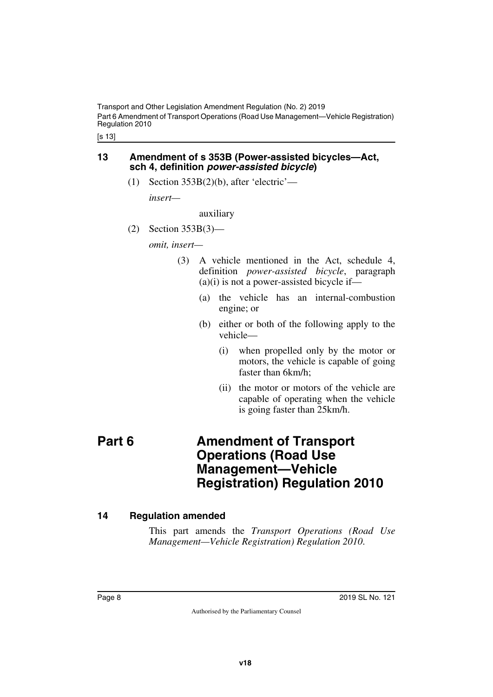Transport and Other Legislation Amendment Regulation (No. 2) 2019 Part 6 Amendment of Transport Operations (Road Use Management—Vehicle Registration) Regulation 2010

[s 13]

## <span id="page-7-1"></span><span id="page-7-0"></span>**13 Amendment of s 353B (Power-assisted bicycles—Act, sch 4, definition** *power-assisted bicycle***)**

(1) Section  $353B(2)(b)$ , after 'electric'—

*insert—*

auxiliary

(2) Section 353B(3)—

*omit, insert—*

- (3) A vehicle mentioned in the Act, schedule 4, definition *power-assisted bicycle*, paragraph  $(a)(i)$  is not a power-assisted bicycle if—
	- (a) the vehicle has an internal-combustion engine; or
	- (b) either or both of the following apply to the vehicle—
		- (i) when propelled only by the motor or motors, the vehicle is capable of going faster than 6km/h;
		- (ii) the motor or motors of the vehicle are capable of operating when the vehicle is going faster than 25km/h.

## <span id="page-7-3"></span><span id="page-7-2"></span>**Part 6 Amendment of Transport Operations (Road Use Management—Vehicle Registration) Regulation 2010**

## <span id="page-7-4"></span>**14 Regulation amended**

<span id="page-7-5"></span>This part amends the *Transport Operations (Road Use Management—Vehicle Registration) Regulation 2010*.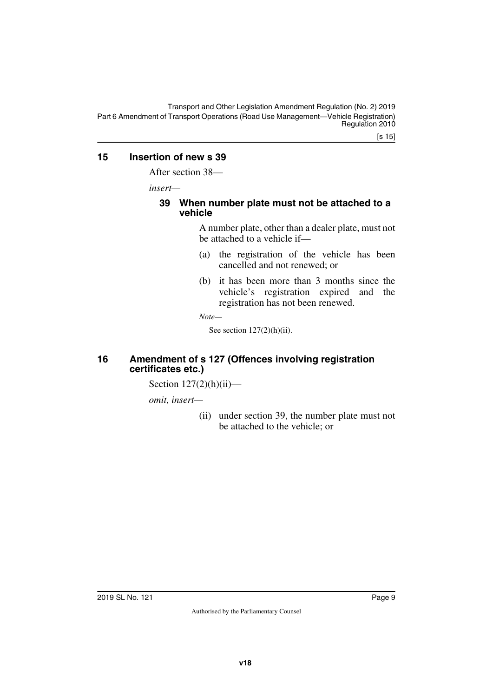Transport and Other Legislation Amendment Regulation (No. 2) 2019 Part 6 Amendment of Transport Operations (Road Use Management—Vehicle Registration) Regulation 2010

## <span id="page-8-0"></span>**15 Insertion of new s 39**

<span id="page-8-1"></span>After section 38—

*insert—*

## <span id="page-8-3"></span><span id="page-8-2"></span>**39 When number plate must not be attached to a vehicle**

A number plate, other than a dealer plate, must not be attached to a vehicle if—

- (a) the registration of the vehicle has been cancelled and not renewed; or
- (b) it has been more than 3 months since the vehicle's registration expired and the registration has not been renewed.

*Note—*

See section  $127(2)(h)(ii)$ .

## <span id="page-8-5"></span><span id="page-8-4"></span>**16 Amendment of s 127 (Offences involving registration certificates etc.)**

Section  $127(2)(h)(ii)$ —

*omit, insert—*

(ii) under section 39, the number plate must not be attached to the vehicle; or